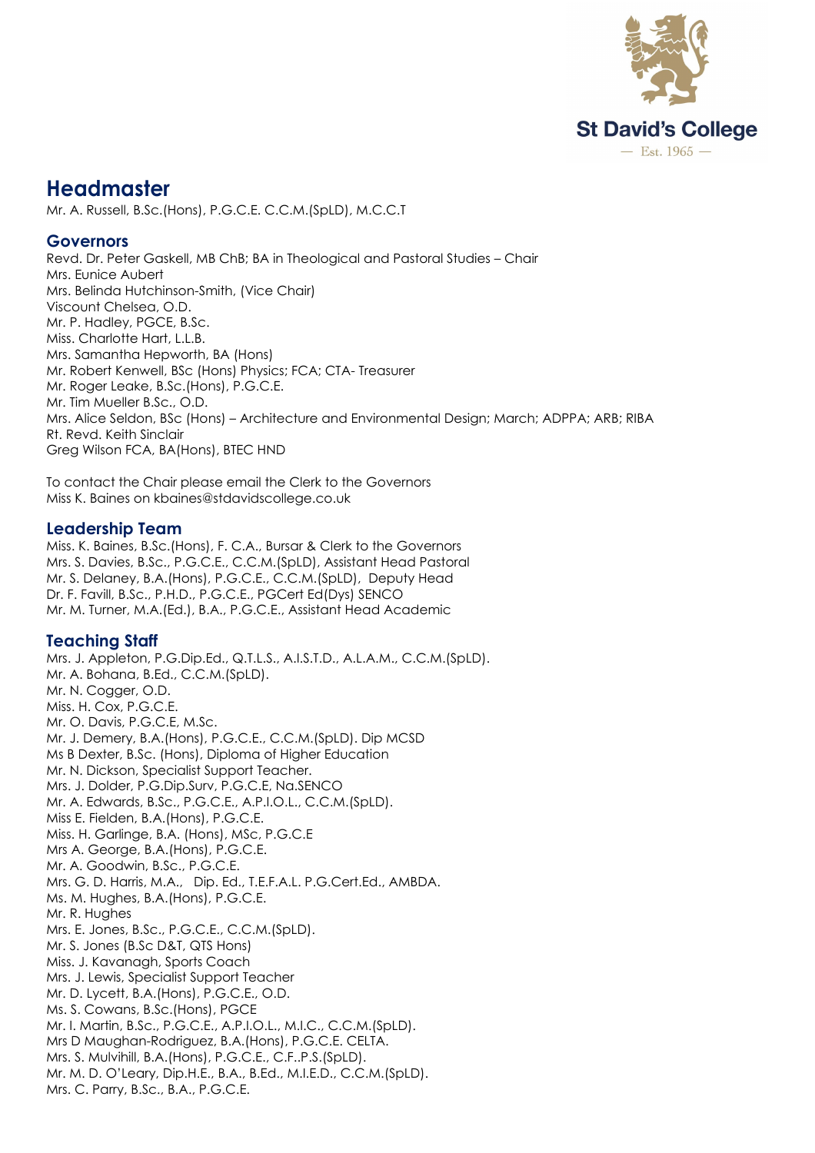

# **Headmaster**

Mr. A. Russell, B.Sc.(Hons), P.G.C.E. C.C.M.(SpLD), M.C.C.T

#### **Governors**

Revd. Dr. Peter Gaskell, MB ChB; BA in Theological and Pastoral Studies – Chair Mrs. Eunice Aubert Mrs. Belinda Hutchinson-Smith, (Vice Chair) Viscount Chelsea, O.D. Mr. P. Hadley, PGCE, B.Sc. Miss. Charlotte Hart, L.L.B. Mrs. Samantha Hepworth, BA (Hons) Mr. Robert Kenwell, BSc (Hons) Physics; FCA; CTA- Treasurer Mr. Roger Leake, B.Sc.(Hons), P.G.C.E. Mr. Tim Mueller B.Sc., O.D. Mrs. Alice Seldon, BSc (Hons) – Architecture and Environmental Design; March; ADPPA; ARB; RIBA Rt. Revd. Keith Sinclair Greg Wilson FCA, BA(Hons), BTEC HND

To contact the Chair please email the Clerk to the Governors Miss K. Baines on kbaines@stdavidscollege.co.uk

#### **Leadership Team**

Miss. K. Baines, B.Sc.(Hons), F. C.A., Bursar & Clerk to the Governors Mrs. S. Davies, B.Sc., P.G.C.E., C.C.M.(SpLD), Assistant Head Pastoral Mr. S. Delaney, B.A.(Hons), P.G.C.E., C.C.M.(SpLD), Deputy Head Dr. F. Favill, B.Sc., P.H.D., P.G.C.E., PGCert Ed(Dys) SENCO Mr. M. Turner, M.A.(Ed.), B.A., P.G.C.E., Assistant Head Academic

## **Teaching Staff**

Mrs. J. Appleton, P.G.Dip.Ed., Q.T.L.S., A.I.S.T.D., A.L.A.M., C.C.M.(SpLD). Mr. A. Bohana, B.Ed., C.C.M.(SpLD). Mr. N. Cogger, O.D. Miss. H. Cox, P.G.C.E. Mr. O. Davis, P.G.C.E, M.Sc. Mr. J. Demery, B.A.(Hons), P.G.C.E., C.C.M.(SpLD). Dip MCSD Ms B Dexter, B.Sc. (Hons), Diploma of Higher Education Mr. N. Dickson, Specialist Support Teacher. Mrs. J. Dolder, P.G.Dip.Surv, P.G.C.E, Na.SENCO Mr. A. Edwards, B.Sc., P.G.C.E., A.P.I.O.L., C.C.M.(SpLD). Miss E. Fielden, B.A.(Hons), P.G.C.E. Miss. H. Garlinge, B.A. (Hons), MSc, P.G.C.E Mrs A. George, B.A.(Hons), P.G.C.E. Mr. A. Goodwin, B.Sc., P.G.C.E. Mrs. G. D. Harris, M.A., Dip. Ed., T.E.F.A.L. P.G.Cert.Ed., AMBDA. Ms. M. Hughes, B.A.(Hons), P.G.C.E. Mr. R. Hughes Mrs. E. Jones, B.Sc., P.G.C.E., C.C.M.(SpLD). Mr. S. Jones (B.Sc D&T, QTS Hons) Miss. J. Kavanagh, Sports Coach Mrs. J. Lewis, Specialist Support Teacher Mr. D. Lycett, B.A.(Hons), P.G.C.E., O.D. Ms. S. Cowans, B.Sc.(Hons), PGCE Mr. I. Martin, B.Sc., P.G.C.E., A.P.I.O.L., M.I.C., C.C.M.(SpLD). Mrs D Maughan-Rodriguez, B.A.(Hons), P.G.C.E. CELTA. Mrs. S. Mulvihill, B.A.(Hons), P.G.C.E., C.F..P.S.(SpLD). Mr. M. D. O'Leary, Dip.H.E., B.A., B.Ed., M.I.E.D., C.C.M.(SpLD). Mrs. C. Parry, B.Sc., B.A., P.G.C.E.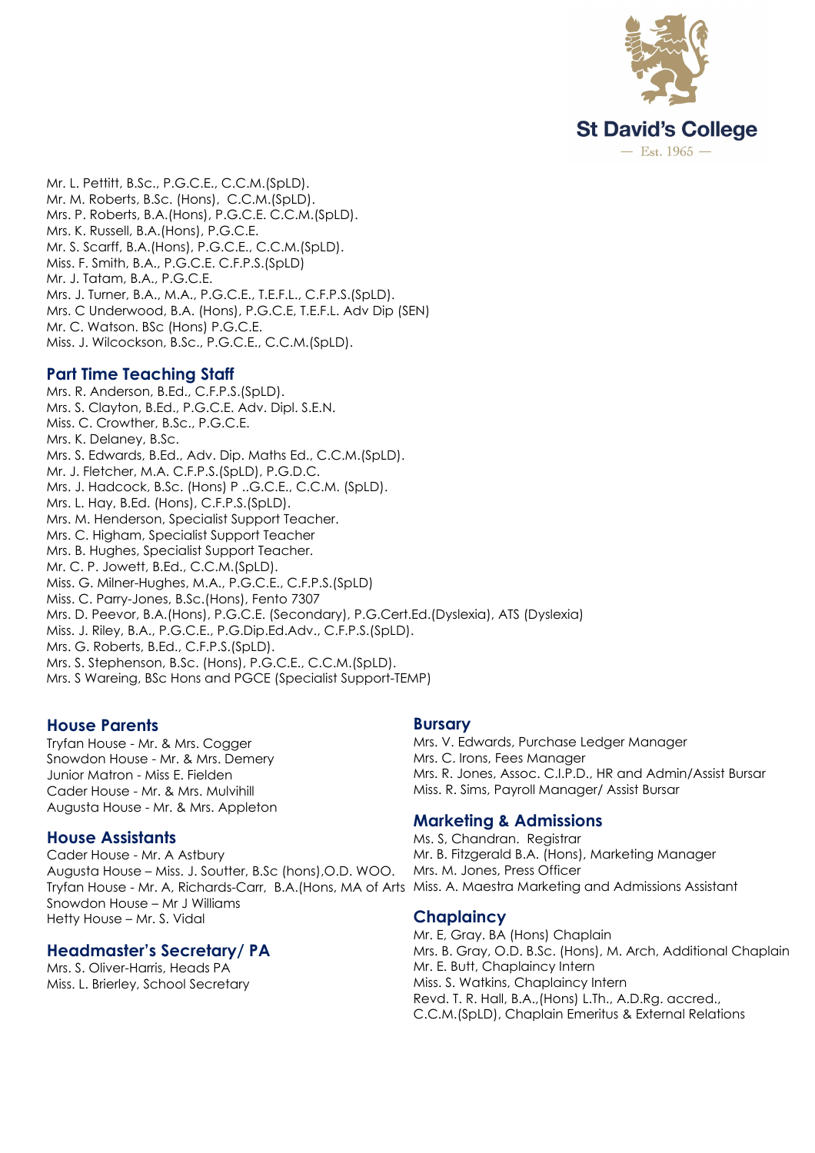

Mr. L. Pettitt, B.Sc., P.G.C.E., C.C.M.(SpLD). Mr. M. Roberts, B.Sc. (Hons), C.C.M.(SpLD). Mrs. P. Roberts, B.A.(Hons), P.G.C.E. C.C.M.(SpLD). Mrs. K. Russell, B.A.(Hons), P.G.C.E. Mr. S. Scarff, B.A.(Hons), P.G.C.E., C.C.M.(SpLD). Miss. F. Smith, B.A., P.G.C.E. C.F.P.S.(SpLD) Mr. J. Tatam, B.A., P.G.C.E. Mrs. J. Turner, B.A., M.A., P.G.C.E., T.E.F.L., C.F.P.S.(SpLD). Mrs. C Underwood, B.A. (Hons), P.G.C.E, T.E.F.L. Adv Dip (SEN) Mr. C. Watson. BSc (Hons) P.G.C.E. Miss. J. Wilcockson, B.Sc., P.G.C.E., C.C.M.(SpLD).

## **Part Time Teaching Staff**

Mrs. R. Anderson, B.Ed., C.F.P.S.(SpLD). Mrs. S. Clayton, B.Ed., P.G.C.E. Adv. Dipl. S.E.N. Miss. C. Crowther, B.Sc., P.G.C.E. Mrs. K. Delaney, B.Sc. Mrs. S. Edwards, B.Ed., Adv. Dip. Maths Ed., C.C.M.(SpLD). Mr. J. Fletcher, M.A. C.F.P.S.(SpLD), P.G.D.C. Mrs. J. Hadcock, B.Sc. (Hons) P ..G.C.E., C.C.M. (SpLD). Mrs. L. Hay, B.Ed. (Hons), C.F.P.S.(SpLD). Mrs. M. Henderson, Specialist Support Teacher. Mrs. C. Higham, Specialist Support Teacher Mrs. B. Hughes, Specialist Support Teacher. Mr. C. P. Jowett, B.Ed., C.C.M.(SpLD). Miss. G. Milner-Hughes, M.A., P.G.C.E., C.F.P.S.(SpLD) Miss. C. Parry-Jones, B.Sc.(Hons), Fento 7307 Mrs. D. Peevor, B.A.(Hons), P.G.C.E. (Secondary), P.G.Cert.Ed.(Dyslexia), ATS (Dyslexia) Miss. J. Riley, B.A., P.G.C.E., P.G.Dip.Ed.Adv., C.F.P.S.(SpLD). Mrs. G. Roberts, B.Ed., C.F.P.S.(SpLD). Mrs. S. Stephenson, B.Sc. (Hons), P.G.C.E., C.C.M.(SpLD). Mrs. S Wareing, BSc Hons and PGCE (Specialist Support-TEMP)

# **House Parents**

Tryfan House - Mr. & Mrs. Cogger Snowdon House - Mr. & Mrs. Demery Junior Matron - Miss E. Fielden Cader House - Mr. & Mrs. Mulvihill Augusta House - Mr. & Mrs. Appleton

## **House Assistants**

Cader House - Mr. A Astbury Augusta House – Miss. J. Soutter, B.Sc (hons),O.D. WOO. Tryfan House - Mr. A, Richards-Carr, B.A.(Hons, MA of Arts Miss. A. Maestra Marketing and Admissions Assistant Snowdon House – Mr J Williams Hetty House – Mr. S. Vidal

# **Headmaster's Secretary/ PA**

Mrs. S. Oliver-Harris, Heads PA Miss. L. Brierley, School Secretary

## **Bursary**

Mrs. V. Edwards, Purchase Ledger Manager Mrs. C. Irons, Fees Manager Mrs. R. Jones, Assoc. C.I.P.D., HR and Admin/Assist Bursar Miss. R. Sims, Payroll Manager/ Assist Bursar

# **Marketing & Admissions**

Ms. S, Chandran. Registrar Mr. B. Fitzgerald B.A. (Hons), Marketing Manager Mrs. M. Jones, Press Officer

## **Chaplaincy**

Mr. E, Gray. BA (Hons) Chaplain Mrs. B. Gray, O.D. B.Sc. (Hons), M. Arch, Additional Chaplain Mr. E. Butt, Chaplaincy Intern Miss. S. Watkins, Chaplaincy Intern Revd. T. R. Hall, B.A.,(Hons) L.Th., A.D.Rg. accred., C.C.M.(SpLD), Chaplain Emeritus & External Relations